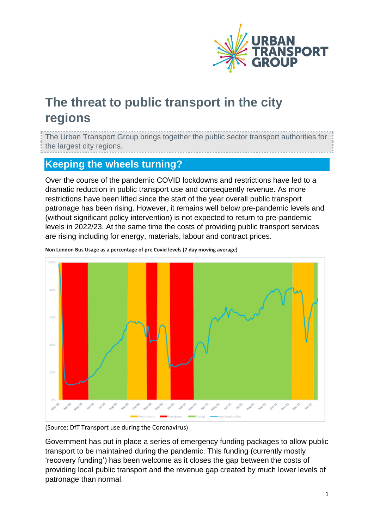

## **The threat to public transport in the city regions**

The Urban Transport Group brings together the public sector transport authorities for the largest city regions. 

## **Keeping the wheels turning?**

Over the course of the pandemic COVID lockdowns and restrictions have led to a dramatic reduction in public transport use and consequently revenue. As more restrictions have been lifted since the start of the year overall public transport patronage has been rising. However, it remains well below pre-pandemic levels and (without significant policy intervention) is not expected to return to pre-pandemic levels in 2022/23. At the same time the costs of providing public transport services are rising including for energy, materials, labour and contract prices.



**Non London Bus Usage as a percentage of pre Covid levels (7 day moving average)**

(Source: DfT Transport use during the Coronavirus)

Government has put in place a series of emergency funding packages to allow public transport to be maintained during the pandemic. This funding (currently mostly 'recovery funding') has been welcome as it closes the gap between the costs of providing local public transport and the revenue gap created by much lower levels of patronage than normal.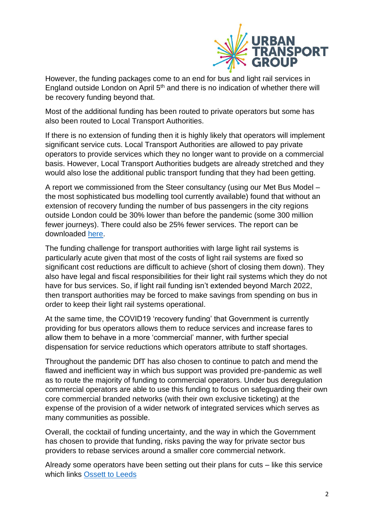

However, the funding packages come to an end for bus and light rail services in England outside London on April 5<sup>th</sup> and there is no indication of whether there will be recovery funding beyond that.

Most of the additional funding has been routed to private operators but some has also been routed to Local Transport Authorities.

If there is no extension of funding then it is highly likely that operators will implement significant service cuts. Local Transport Authorities are allowed to pay private operators to provide services which they no longer want to provide on a commercial basis. However, Local Transport Authorities budgets are already stretched and they would also lose the additional public transport funding that they had been getting.

A report we commissioned from the Steer consultancy (using our Met Bus Model – the most sophisticated bus modelling tool currently available) found that without an extension of recovery funding the number of bus passengers in the city regions outside London could be 30% lower than before the pandemic (some 300 million fewer journeys). There could also be 25% fewer services. The report can be downloaded [here.](https://www.urbantransportgroup.org/resources/types/reports/continuing-covid-funding-support-urban-public-transport)

The funding challenge for transport authorities with large light rail systems is particularly acute given that most of the costs of light rail systems are fixed so significant cost reductions are difficult to achieve (short of closing them down). They also have legal and fiscal responsibilities for their light rail systems which they do not have for bus services. So, if light rail funding isn't extended beyond March 2022, then transport authorities may be forced to make savings from spending on bus in order to keep their light rail systems operational.

At the same time, the COVID19 'recovery funding' that Government is currently providing for bus operators allows them to reduce services and increase fares to allow them to behave in a more 'commercial' manner, with further special dispensation for service reductions which operators attribute to staff shortages.

Throughout the pandemic DfT has also chosen to continue to patch and mend the flawed and inefficient way in which bus support was provided pre-pandemic as well as to route the majority of funding to commercial operators. Under bus deregulation commercial operators are able to use this funding to focus on safeguarding their own core commercial branded networks (with their own exclusive ticketing) at the expense of the provision of a wider network of integrated services which serves as many communities as possible.

Overall, the cocktail of funding uncertainty, and the way in which the Government has chosen to provide that funding, risks paving the way for private sector bus providers to rebase services around a smaller core commercial network.

Already some operators have been setting out their plans for cuts – like this service which links Ossett [to Leeds](https://www.examinerlive.co.uk/news/local-news/fury-bus-services-axed-yorkshire-22871557)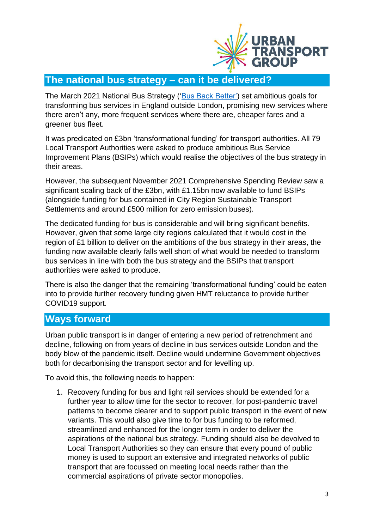

## **The national bus strategy – can it be delivered?**

The March 2021 National Bus Strategy (['Bus Back Better'\)](https://www.gov.uk/government/publications/bus-back-better) set ambitious goals for transforming bus services in England outside London, promising new services where there aren't any, more frequent services where there are, cheaper fares and a greener bus fleet.

It was predicated on £3bn 'transformational funding' for transport authorities. All 79 Local Transport Authorities were asked to produce ambitious Bus Service Improvement Plans (BSIPs) which would realise the objectives of the bus strategy in their areas.

However, the subsequent November 2021 Comprehensive Spending Review saw a significant scaling back of the £3bn, with £1.15bn now available to fund BSIPs (alongside funding for bus contained in City Region Sustainable Transport Settlements and around £500 million for zero emission buses).

The dedicated funding for bus is considerable and will bring significant benefits. However, given that some large city regions calculated that it would cost in the region of £1 billion to deliver on the ambitions of the bus strategy in their areas, the funding now available clearly falls well short of what would be needed to transform bus services in line with both the bus strategy and the BSIPs that transport authorities were asked to produce.

There is also the danger that the remaining 'transformational funding' could be eaten into to provide further recovery funding given HMT reluctance to provide further COVID19 support.

## **Ways forward**

Urban public transport is in danger of entering a new period of retrenchment and decline, following on from years of decline in bus services outside London and the body blow of the pandemic itself. Decline would undermine Government objectives both for decarbonising the transport sector and for levelling up.

To avoid this, the following needs to happen:

1. Recovery funding for bus and light rail services should be extended for a further year to allow time for the sector to recover, for post-pandemic travel patterns to become clearer and to support public transport in the event of new variants. This would also give time to for bus funding to be reformed, streamlined and enhanced for the longer term in order to deliver the aspirations of the national bus strategy. Funding should also be devolved to Local Transport Authorities so they can ensure that every pound of public money is used to support an extensive and integrated networks of public transport that are focussed on meeting local needs rather than the commercial aspirations of private sector monopolies.